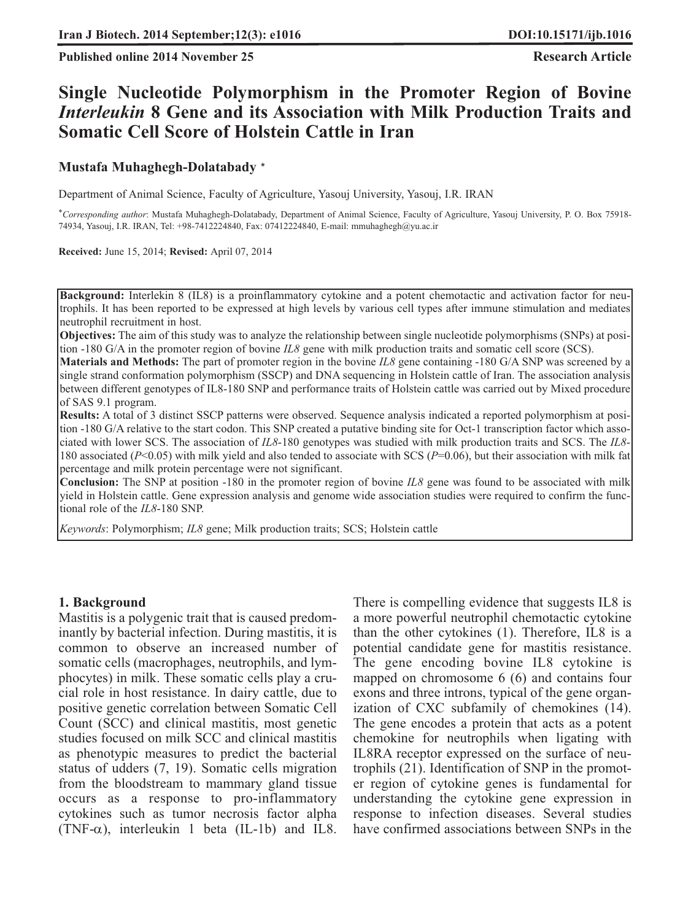**Published online 2014 November 25 Research Article** 

# **Single Nucleotide Polymorphism in the Promoter Region of Bovine** *Interleukin* **8 Gene and its Association with Milk Production Traits and Somatic Cell Score of Holstein Cattle in Iran**

#### **Mustafa Muhaghegh-Dolatabady** \*

Department of Animal Science, Faculty of Agriculture, Yasouj University, Yasouj, I.R. IRAN

\**Corresponding author*: Mustafa Muhaghegh-Dolatabady, Department of Animal Science, Faculty of Agriculture, Yasouj University, P. O. Box 75918- 74934, Yasouj, I.R. IRAN, Tel: +98-7412224840, Fax: 07412224840, E-mail: mmuhaghegh@yu.ac.ir

**Received:** June 15, 2014; **Revised:** April 07, 2014

**Background:** Interlekin 8 (IL8) is a proinflammatory cytokine and a potent chemotactic and activation factor for neutrophils. It has been reported to be expressed at high levels by various cell types after immune stimulation and mediates neutrophil recruitment in host.

**Objectives:** The aim of this study was to analyze the relationship between single nucleotide polymorphisms (SNPs) at position -180 G/A in the promoter region of bovine *IL8* gene with milk production traits and somatic cell score (SCS).

**Materials and Methods:** The part of promoter region in the bovine *IL8* gene containing -180 G/A SNP was screened by a single strand conformation polymorphism (SSCP) and DNA sequencing in Holstein cattle of Iran. The association analysis between different genotypes of IL8-180 SNP and performance traits of Holstein cattle was carried out by Mixed procedure of SAS 9.1 program.

**Results:** A total of 3 distinct SSCP patterns were observed. Sequence analysis indicated a reported polymorphism at position -180 G/A relative to the start codon. This SNP created a putative binding site for Oct-1 transcription factor which associated with lower SCS. The association of *IL8*-180 genotypes was studied with milk production traits and SCS. The *IL8*- 180 associated (*P*<0.05) with milk yield and also tended to associate with SCS (*P*=0.06), but their association with milk fat percentage and milk protein percentage were not significant.

**Conclusion:** The SNP at position -180 in the promoter region of bovine *IL8* gene was found to be associated with milk yield in Holstein cattle. Gene expression analysis and genome wide association studies were required to confirm the functional role of the *IL8*-180 SNP.

*Keywords*: Polymorphism; *IL8* gene; Milk production traits; SCS; Holstein cattle

#### **1. Background**

Mastitis is a polygenic trait that is caused predominantly by bacterial infection. During mastitis, it is common to observe an increased number of somatic cells (macrophages, neutrophils, and lymphocytes) in milk. These somatic cells play a crucial role in host resistance. In dairy cattle, due to positive genetic correlation between Somatic Cell Count (SCC) and clinical mastitis, most genetic studies focused on milk SCC and clinical mastitis as phenotypic measures to predict the bacterial status of udders (7, 19). Somatic cells migration from the bloodstream to mammary gland tissue occurs as a response to pro-inflammatory cytokines such as tumor necrosis factor alpha (TNF- $\alpha$ ), interleukin 1 beta (IL-1b) and IL8.

There is compelling evidence that suggests IL8 is a more powerful neutrophil chemotactic cytokine than the other cytokines (1). Therefore, IL8 is a potential candidate gene for mastitis resistance. The gene encoding bovine IL8 cytokine is mapped on chromosome 6 (6) and contains four exons and three introns, typical of the gene organization of CXC subfamily of chemokines (14). The gene encodes a protein that acts as a potent chemokine for neutrophils when ligating with IL8RA receptor expressed on the surface of neutrophils (21). Identification of SNP in the promoter region of cytokine genes is fundamental for understanding the cytokine gene expression in response to infection diseases. Several studies have confirmed associations between SNPs in the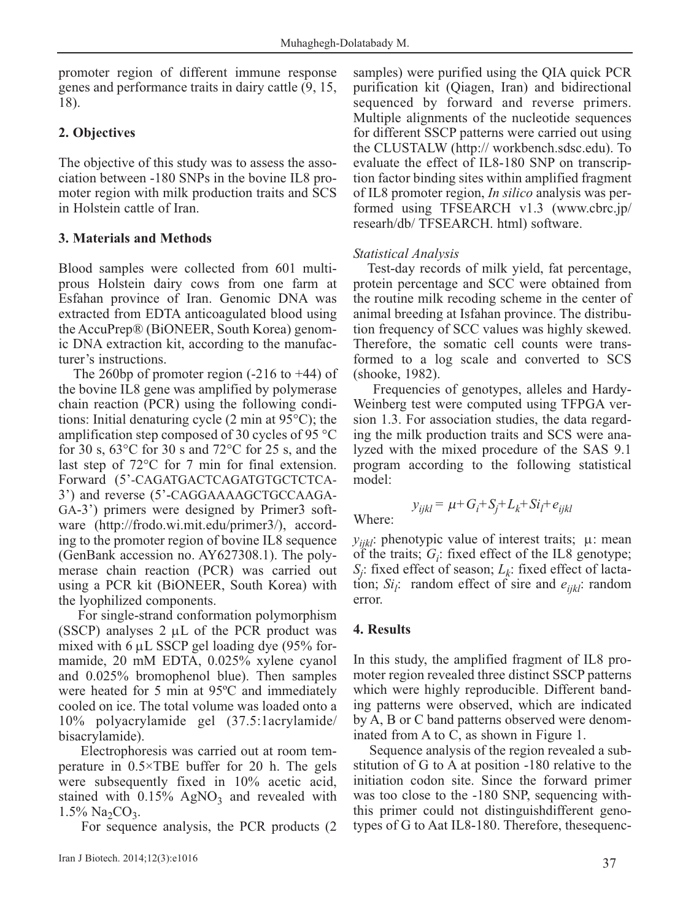promoter region of different immune response genes and performance traits in dairy cattle (9, 15, 18).

# **2. Objectives**

The objective of this study was to assess the association between -180 SNPs in the bovine IL8 promoter region with milk production traits and SCS in Holstein cattle of Iran.

# **3. Materials and Methods**

Blood samples were collected from 601 multiprous Holstein dairy cows from one farm at Esfahan province of Iran. Genomic DNA was extracted from EDTA anticoagulated blood using the AccuPrep® (BiONEER, South Korea) genomic DNA extraction kit, according to the manufacturer's instructions.

The 260bp of promoter region (-216 to +44) of the bovine IL8 gene was amplified by polymerase chain reaction (PCR) using the following conditions: Initial denaturing cycle (2 min at 95°C); the amplification step composed of 30 cycles of 95 °C for 30 s, 63°C for 30 s and 72°C for 25 s, and the last step of 72°C for 7 min for final extension. Forward (5'-CAGATGACTCAGATGTGCTCTCA-3') and reverse (5'-CAGGAAAAGCTGCCAAGA-GA-3') primers were designed by Primer3 software (http://frodo.wi.mit.edu/primer3/), according to the promoter region of bovine IL8 sequence (GenBank accession no. AY627308.1). The polymerase chain reaction (PCR) was carried out using a PCR kit (BiONEER, South Korea) with the lyophilized components.

For single-strand conformation polymorphism (SSCP) analyses  $2 \mu L$  of the PCR product was mixed with 6 μL SSCP gel loading dye (95% formamide, 20 mM EDTA, 0.025% xylene cyanol and 0.025% bromophenol blue). Then samples were heated for 5 min at 95ºC and immediately cooled on ice. The total volume was loaded onto a 10% polyacrylamide gel (37.5:1acrylamide/ bisacrylamide).

Electrophoresis was carried out at room temperature in 0.5×TBE buffer for 20 h. The gels were subsequently fixed in 10% acetic acid, stained with  $0.15\%$  AgNO<sub>3</sub> and revealed with  $1.5\%$  Na<sub>2</sub>CO<sub>3</sub>.

For sequence analysis, the PCR products (2

samples) were purified using the QIA quick PCR purification kit (Qiagen, Iran) and bidirectional sequenced by forward and reverse primers. Multiple alignments of the nucleotide sequences for different SSCP patterns were carried out using the CLUSTALW (http:// workbench.sdsc.edu). To evaluate the effect of IL8-180 SNP on transcription factor binding sites within amplified fragment of IL8 promoter region, *In silico* analysis was performed using TFSEARCH v1.3 (www.cbrc.jp/ researh/db/ TFSEARCH. html) software.

## *Statistical Analysis*

Test-day records of milk yield, fat percentage, protein percentage and SCC were obtained from the routine milk recoding scheme in the center of animal breeding at Isfahan province. The distribution frequency of SCC values was highly skewed. Therefore, the somatic cell counts were transformed to a log scale and converted to SCS (shooke, 1982).

Frequencies of genotypes, alleles and Hardy-Weinberg test were computed using TFPGA version 1.3. For association studies, the data regarding the milk production traits and SCS were analyzed with the mixed procedure of the SAS 9.1 program according to the following statistical model:

 $y_{ijkl} = \mu + G_i + S_j + L_k + Si_l + e_{ijkl}$ Where:

 $y_{iik}$ : phenotypic value of interest traits;  $\mu$ : mean of the traits;  $G_i$ : fixed effect of the IL8 genotype; *Sj* : fixed effect of season; *Lk*: fixed effect of lactation;  $Si_i$ : random effect of sire and  $e_{ijkl}$ : random error.

### **4. Results**

In this study, the amplified fragment of IL8 promoter region revealed three distinct SSCP patterns which were highly reproducible. Different banding patterns were observed, which are indicated by A, B or C band patterns observed were denominated from A to C, as shown in Figure 1.

Sequence analysis of the region revealed a substitution of G to A at position -180 relative to the initiation codon site. Since the forward primer was too close to the -180 SNP, sequencing withthis primer could not distinguishdifferent genotypes of G to Aat IL8-180. Therefore, thesequenc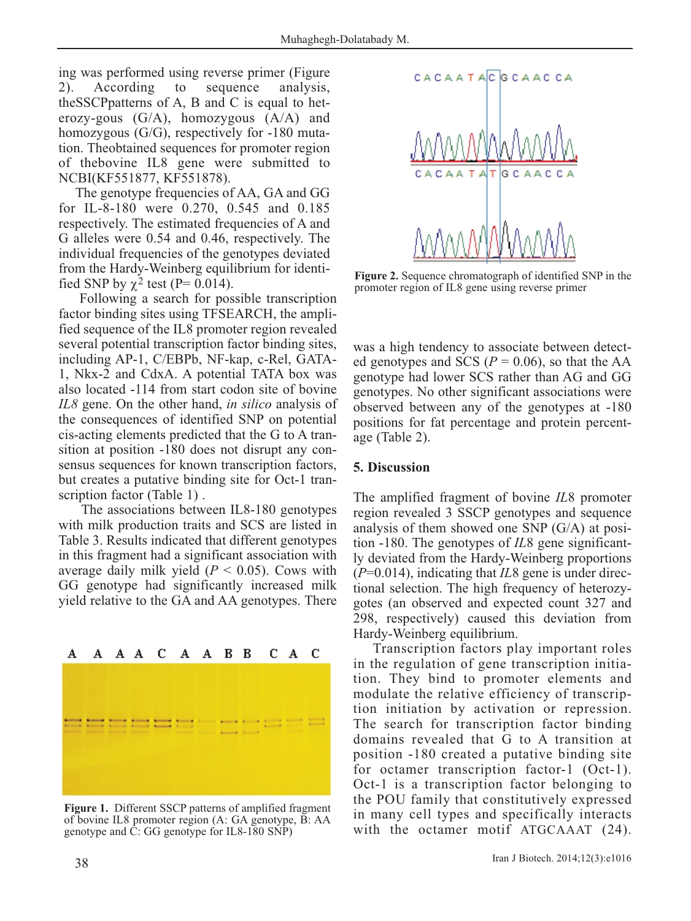ing was performed using reverse primer (Figure 2). According to sequence analysis, theSSCPpatterns of A, B and C is equal to heterozy-gous  $(G/A)$ , homozygous  $(A/A)$  and homozygous (G/G), respectively for -180 mutation. Theobtained sequences for promoter region of thebovine IL8 gene were submitted to NCBI(KF551877, KF551878).

The genotype frequencies of AA, GA and GG for IL-8-180 were 0.270, 0.545 and 0.185 respectively. The estimated frequencies of A and G alleles were 0.54 and 0.46, respectively. The individual frequencies of the genotypes deviated from the Hardy-Weinberg equilibrium for identified SNP by  $\chi^2$  test (P= 0.014).

Following a search for possible transcription factor binding sites using TFSEARCH, the amplified sequence of the IL8 promoter region revealed several potential transcription factor binding sites, including AP-1, C/EBPb, NF-kap, c-Rel, GATA-1, Nkx-2 and CdxA. A potential TATA box was also located -114 from start codon site of bovine *IL8* gene. On the other hand, *in silico* analysis of the consequences of identified SNP on potential cis-acting elements predicted that the G to A transition at position -180 does not disrupt any consensus sequences for known transcription factors, but creates a putative binding site for Oct-1 transcription factor (Table 1).

The associations between IL8-180 genotypes with milk production traits and SCS are listed in Table 3. Results indicated that different genotypes in this fragment had a significant association with average daily milk yield  $(P < 0.05)$ . Cows with GG genotype had significantly increased milk yield relative to the GA and AA genotypes. There

# C B B C A C A A A A A А

**Figure 1.** Different SSCP patterns of amplified fragment of bovine IL8 promoter region (A: GA genotype, B: AA genotype and C: GG genotype for IL8-180 SNP)



**Figure 2.** Sequence chromatograph of identified SNP in the promoter region of IL8 gene using reverse primer

was a high tendency to associate between detected genotypes and SCS ( $P = 0.06$ ), so that the AA genotype had lower SCS rather than AG and GG genotypes. No other significant associations were observed between any of the genotypes at -180 positions for fat percentage and protein percentage (Table 2).

### **5. Discussion**

The amplified fragment of bovine *IL*8 promoter region revealed 3 SSCP genotypes and sequence analysis of them showed one SNP (G/A) at position -180. The genotypes of *IL*8 gene significantly deviated from the Hardy-Weinberg proportions (*P*=0.014), indicating that *IL*8 gene is under directional selection. The high frequency of heterozygotes (an observed and expected count 327 and 298, respectively) caused this deviation from Hardy-Weinberg equilibrium.

Transcription factors play important roles in the regulation of gene transcription initiation. They bind to promoter elements and modulate the relative efficiency of transcription initiation by activation or repression. The search for transcription factor binding domains revealed that G to A transition at position -180 created a putative binding site for octamer transcription factor-1 (Oct-1). Oct-1 is a transcription factor belonging to the POU family that constitutively expressed in many cell types and specifically interacts with the octamer motif ATGCAAAT (24).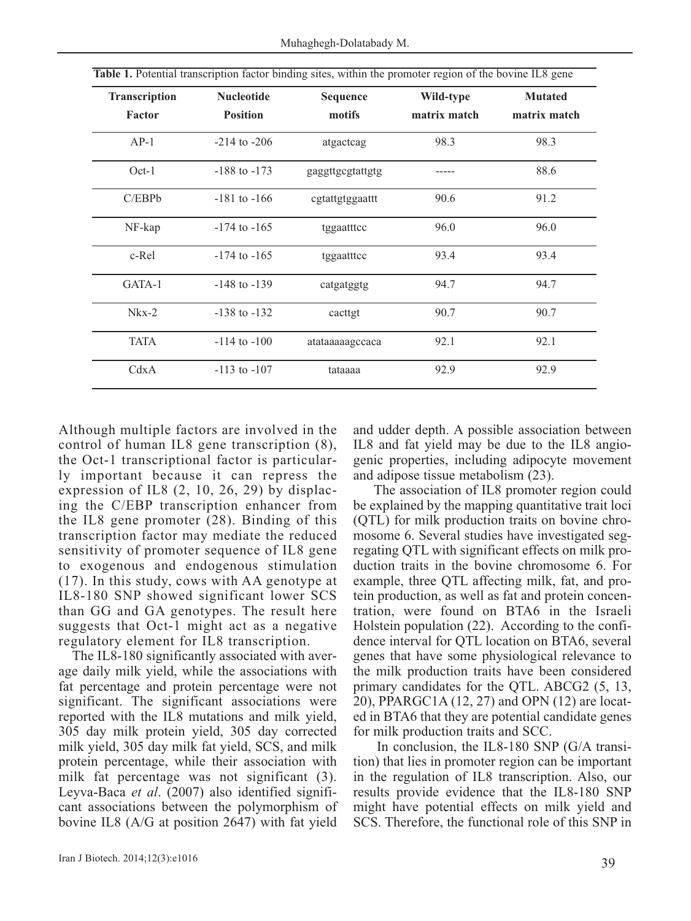| <b>Transcription</b> | <b>Nucleotide</b> | Sequence         | Wild-type    | <b>Mutated</b><br>matrix match |  |
|----------------------|-------------------|------------------|--------------|--------------------------------|--|
| Factor               | <b>Position</b>   | motifs           | matrix match |                                |  |
| $AP-1$               | $-214$ to $-206$  | atgactcag        | 98.3         | 98.3                           |  |
| $Oct-1$              | $-188$ to $-173$  | gaggttgcgtattgtg |              | 88.6                           |  |
| C/EBPb               | $-181$ to $-166$  | cgtattgtggaattt  | 90.6         | 91.2                           |  |
| NF-kap               | $-174$ to $-165$  | tggaatttcc       | 96.0         | 96.0                           |  |
| c-Rel                | $-174$ to $-165$  | tggaatttcc       | 93.4         | 93.4                           |  |
| GATA-1               | $-148$ to $-139$  | catgatggtg       | 94.7         | 94.7                           |  |
| $Nkx-2$              | $-138$ to $-132$  | cacttgt          | 90.7         | 90.7                           |  |
| <b>TATA</b>          | $-114$ to $-100$  | atataaaaagccaca  | 92.1         | 92.1                           |  |
| CdxA                 | $-113$ to $-107$  | tataaaa          | 92.9         | 92.9                           |  |

**Table 1.** Potential transcription factor binding sites, within the promoter region of the bovine IL8 gene

Although multiple factors are involved in the control of human IL8 gene transcription (8), the Oct-1 transcriptional factor is particularly important because it can repress the expression of IL8 (2, 10, 26, 29) by displacing the C/EBP transcription enhancer from the IL8 gene promoter (28). Binding of this transcription factor may mediate the reduced sensitivity of promoter sequence of IL8 gene to exogenous and endogenous stimulation (17). In this study, cows with AA genotype at IL8-180 SNP showed significant lower SCS than GG and GA genotypes. The result here suggests that Oct-1 might act as a negative regulatory element for IL8 transcription.

The IL8-180 significantly associated with average daily milk yield, while the associations with fat percentage and protein percentage were not significant. The significant associations were reported with the IL8 mutations and milk yield, 305 day milk protein yield, 305 day corrected milk yield, 305 day milk fat yield, SCS, and milk protein percentage, while their association with milk fat percentage was not significant (3). Leyva-Baca *et al*. (2007) also identified significant associations between the polymorphism of bovine IL8 (A/G at position 2647) with fat yield

and udder depth. A possible association between IL8 and fat yield may be due to the IL8 angiogenic properties, including adipocyte movement and adipose tissue metabolism (23).

The association of IL8 promoter region could be explained by the mapping quantitative trait loci (QTL) for milk production traits on bovine chromosome 6. Several studies have investigated segregating QTL with significant effects on milk production traits in the bovine chromosome 6. For example, three QTL affecting milk, fat, and protein production, as well as fat and protein concentration, were found on BTA6 in the Israeli Holstein population (22). According to the confidence interval for QTL location on BTA6, several genes that have some physiological relevance to the milk production traits have been considered primary candidates for the QTL. ABCG2 (5, 13, 20), PPARGC1A (12, 27) and OPN (12) are located in BTA6 that they are potential candidate genes for milk production traits and SCC.

In conclusion, the IL8-180 SNP (G/A transition) that lies in promoter region can be important in the regulation of IL8 transcription. Also, our results provide evidence that the IL8-180 SNP might have potential effects on milk yield and SCS. Therefore, the functional role of this SNP in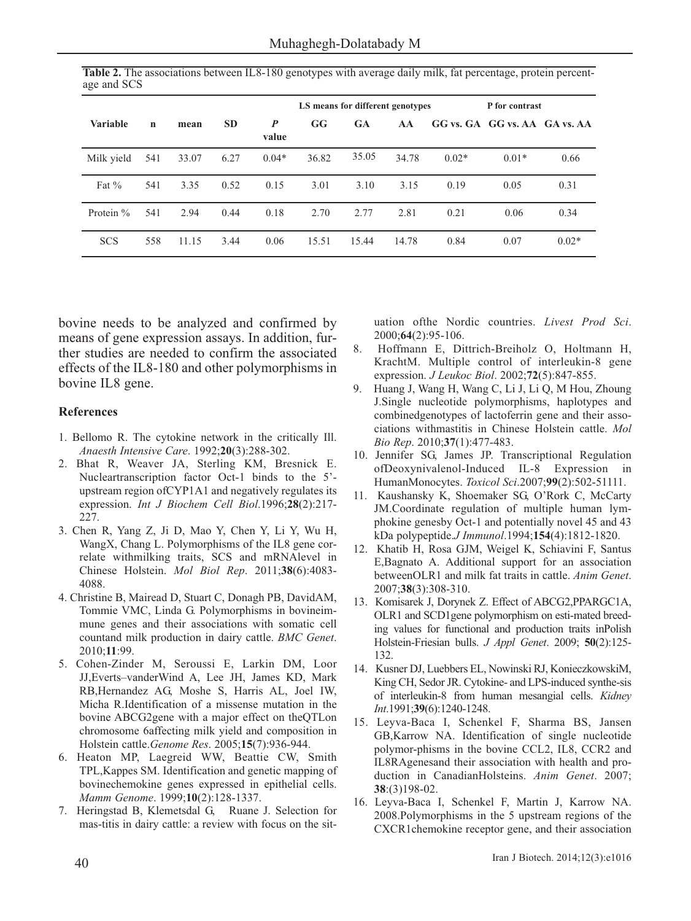|                 |             |       |           |                           | LS means for different genotypes |       |       | P for contrast |                               |         |
|-----------------|-------------|-------|-----------|---------------------------|----------------------------------|-------|-------|----------------|-------------------------------|---------|
| <b>Variable</b> | $\mathbf n$ | mean  | <b>SD</b> | $\boldsymbol{P}$<br>value | GG                               | GA    | AA    |                | GG vs. GA GG vs. AA GA vs. AA |         |
| Milk yield      | 541         | 33.07 | 6.27      | $0.04*$                   | 36.82                            | 35.05 | 34.78 | $0.02*$        | $0.01*$                       | 0.66    |
| Fat $\%$        | 541         | 3.35  | 0.52      | 0.15                      | 3.01                             | 3.10  | 3.15  | 0.19           | 0.05                          | 0.31    |
| Protein $\%$    | 541         | 2.94  | 0.44      | 0.18                      | 2.70                             | 2.77  | 2.81  | 0.21           | 0.06                          | 0.34    |
| <b>SCS</b>      | 558         | 11.15 | 3.44      | 0.06                      | 15.51                            | 15.44 | 14.78 | 0.84           | 0.07                          | $0.02*$ |

**Table 2.** The associations between IL8-180 genotypes with average daily milk, fat percentage, protein percentage and SCS

bovine needs to be analyzed and confirmed by means of gene expression assays. In addition, further studies are needed to confirm the associated effects of the IL8-180 and other polymorphisms in bovine IL8 gene.

#### **References**

- 1. Bellomo R. The cytokine network in the critically Ill. *Anaesth Intensive Care*. 1992;**20**(3):288-302.
- 2. Bhat R, Weaver JA, Sterling KM, Bresnick E. Nucleartranscription factor Oct-1 binds to the 5' upstream region ofCYP1A1 and negatively regulates its expression. *Int J Biochem Cell Biol*.1996;**28**(2):217- 227.
- 3. Chen R, Yang Z, Ji D, Mao Y, Chen Y, Li Y, Wu H, WangX, Chang L. Polymorphisms of the IL8 gene correlate withmilking traits, SCS and mRNAlevel in Chinese Holstein. *Mol Biol Rep*. 2011;**38**(6):4083- 4088.
- 4. Christine B, Mairead D, Stuart C, Donagh PB, DavidAM, Tommie VMC, Linda G. Polymorphisms in bovineimmune genes and their associations with somatic cell countand milk production in dairy cattle. *BMC Genet*. 2010;**11**:99.
- 5. Cohen-Zinder M, Seroussi E, Larkin DM, Loor JJ,Everts–vanderWind A, Lee JH, James KD, Mark RB,Hernandez AG, Moshe S, Harris AL, Joel IW, Micha R.Identification of a missense mutation in the bovine ABCG2gene with a major effect on theQTLon chromosome 6affecting milk yield and composition in Holstein cattle.*Genome Res*. 2005;**15**(7):936-944.
- 6. Heaton MP, Laegreid WW, Beattie CW, Smith TPL,Kappes SM. Identification and genetic mapping of bovinechemokine genes expressed in epithelial cells. *Mamm Genome*. 1999;**10**(2):128-1337.
- 7. Heringstad B, Klemetsdal G, Ruane J. Selection for mas-titis in dairy cattle: a review with focus on the sit-

uation ofthe Nordic countries. *Livest Prod Sci*. 2000;**64**(2):95-106.

- 8. Hoffmann E, Dittrich-Breiholz O, Holtmann H, KrachtM. Multiple control of interleukin-8 gene expression. *J Leukoc Biol*. 2002;**72**(5):847-855.
- 9. Huang J, Wang H, Wang C, Li J, Li Q, M Hou, Zhoung J.Single nucleotide polymorphisms, haplotypes and combinedgenotypes of lactoferrin gene and their associations withmastitis in Chinese Holstein cattle. *Mol Bio Rep*. 2010;**37**(1):477-483.
- 10. Jennifer SG, James JP. Transcriptional Regulation ofDeoxynivalenol-Induced IL-8 Expression in HumanMonocytes. *Toxicol Sci*.2007;**99**(2):502-51111.
- 11. Kaushansky K, Shoemaker SG, O'Rork C, McCarty JM.Coordinate regulation of multiple human lymphokine genesby Oct-1 and potentially novel 45 and 43 kDa polypeptide.*J Immunol*.1994;**154**(4):1812-1820.
- 12. Khatib H, Rosa GJM, Weigel K, Schiavini F, Santus E,Bagnato A. Additional support for an association betweenOLR1 and milk fat traits in cattle. *Anim Genet*. 2007;**38**(3):308-310.
- 13. Komisarek J, Dorynek Z. Effect of ABCG2,PPARGC1A, OLR1 and SCD1gene polymorphism on esti-mated breeding values for functional and production traits inPolish Holstein-Friesian bulls. *J Appl Genet*. 2009; **50**(2):125- 132.
- 14. Kusner DJ, Luebbers EL, Nowinski RJ, KonieczkowskiM, King CH, Sedor JR. Cytokine- and LPS-induced synthe-sis of interleukin-8 from human mesangial cells. *Kidney Int*.1991;**39**(6):1240-1248.
- 15. Leyva-Baca I, Schenkel F, Sharma BS, Jansen GB,Karrow NA. Identification of single nucleotide polymor-phisms in the bovine CCL2, IL8, CCR2 and IL8RAgenesand their association with health and production in CanadianHolsteins. *Anim Genet*. 2007; **38**:(3)198-02.
- 16. Leyva-Baca I, Schenkel F, Martin J, Karrow NA. 2008.Polymorphisms in the 5 upstream regions of the CXCR1chemokine receptor gene, and their association